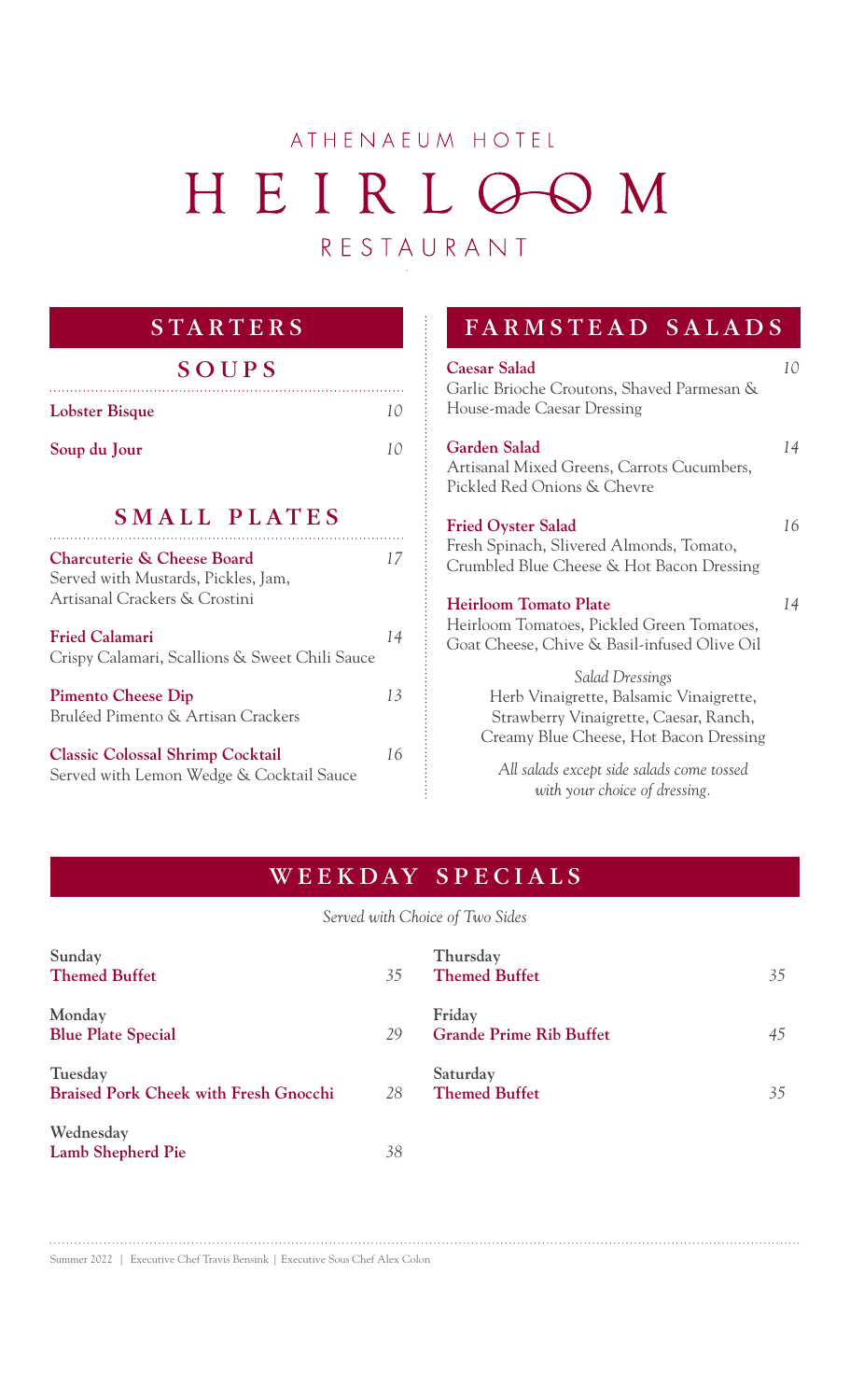# ATHENAEUM HOTEL HEIRLOOM RESTAURANT

# **STARTERS**

|  | SOUPS |  |
|--|-------|--|
|  |       |  |

| <b>Lobster Bisque</b> |  |
|-----------------------|--|
| Soup du Jour          |  |
| SMALL PLATES          |  |

### **Charcuterie & Cheese Board** *17* Served with Mustards, Pickles, Jam, Artisanal Crackers & Crostini **Fried Calamari** *14* Crispy Calamari, Scallions & Sweet Chili Sauce **Pimento Cheese Dip** *13*  Bruléed Pimento & Artisan Crackers **Classic Colossal Shrimp Cocktail** *16*

Served with Lemon Wedge & Cocktail Sauce

## FARMSTEAD SALADS

| <b>Caesar Salad</b><br>Garlic Brioche Croutons, Shaved Parmesan &<br>House-made Caesar Dressing                                                | 10 |
|------------------------------------------------------------------------------------------------------------------------------------------------|----|
| Garden Salad<br>Artisanal Mixed Greens, Carrots Cucumbers,<br>Pickled Red Onions & Chevre                                                      | 14 |
| <b>Fried Oyster Salad</b><br>Fresh Spinach, Slivered Almonds, Tomato,<br>Crumbled Blue Cheese & Hot Bacon Dressing                             | 16 |
| <b>Heirloom Tomato Plate</b><br>Heirloom Tomatoes, Pickled Green Tomatoes,<br>Goat Cheese, Chive & Basil-infused Olive Oil                     | 14 |
| Salad Dressings<br>Herb Vinaigrette, Balsamic Vinaigrette,<br>Strawberry Vinaigrette, Caesar, Ranch,<br>Creamy Blue Cheese, Hot Bacon Dressing |    |
| All salads except side salads come tossed<br>with your choice of dressing.                                                                     |    |

# WEEKDAY SPECIALS

*Served with Choice of Two Sides*

| Sunday<br><b>Themed Buffet</b>                          | 35 | Thursday<br><b>Themed Buffet</b>         | 35 |
|---------------------------------------------------------|----|------------------------------------------|----|
| Monday<br><b>Blue Plate Special</b>                     | 29 | Friday<br><b>Grande Prime Rib Buffet</b> | 45 |
| Tuesday<br><b>Braised Pork Cheek with Fresh Gnocchi</b> | 28 | Saturday<br><b>Themed Buffet</b>         | 35 |
| Wednesday<br>Lamb Shepherd Pie                          | 38 |                                          |    |

Summer 2022 | Executive Chef Travis Bensink | Executive Sous Chef Alex Colon